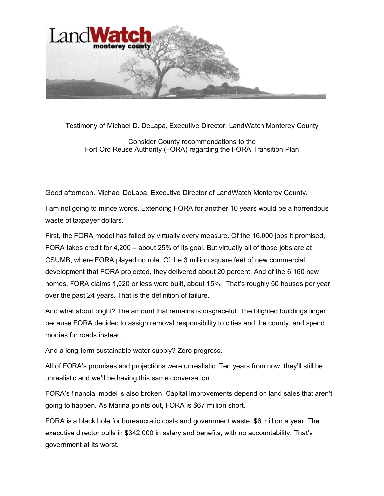

Testimony of Michael D. DeLapa, Executive Director, LandWatch Monterey County

Consider County recommendations to the Fort Ord Reuse Authority (FORA) regarding the FORA Transition Plan

Good afternoon. Michael DeLapa, Executive Director of LandWatch Monterey County.

I am not going to mince words. Extending FORA for another 10 years would be a horrendous waste of taxpayer dollars.

First, the FORA model has failed by virtually every measure. Of the 16,000 jobs it promised, FORA takes credit for 4,200 – about 25% of its goal. But virtually all of those jobs are at CSUMB, where FORA played no role. Of the 3 million square feet of new commercial development that FORA projected, they delivered about 20 percent. And of the 6,160 new homes, FORA claims 1,020 or less were built, about 15%. That's roughly 50 houses per year over the past 24 years. That is the definition of failure.

And what about blight? The amount that remains is disgraceful. The blighted buildings linger because FORA decided to assign removal responsibility to cities and the county, and spend monies for roads instead.

And a long-term sustainable water supply? Zero progress.

All of FORA's promises and projections were unrealistic. Ten years from now, they'll still be unrealistic and we'll be having this same conversation.

FORA's financial model is also broken. Capital improvements depend on land sales that aren't going to happen. As Marina points out, FORA is \$67 million short.

FORA is a black hole for bureaucratic costs and government waste. \$6 million a year. The executive director pulls in \$342,000 in salary and benefits, with no accountability. That's government at its worst.